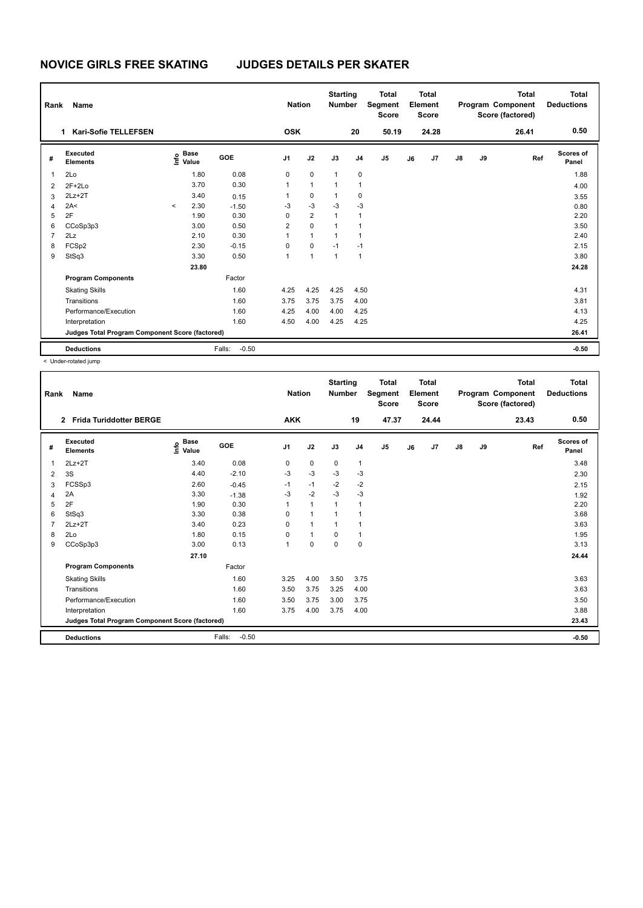| Rank           | Name                                            |         | <b>Nation</b>                               |                   | <b>Starting</b><br><b>Number</b> |                | <b>Total</b><br>Segment<br><b>Score</b> |                | Total<br>Element<br><b>Score</b> |    |       | <b>Total</b><br>Program Component<br>Score (factored) | <b>Total</b><br><b>Deductions</b> |       |                    |
|----------------|-------------------------------------------------|---------|---------------------------------------------|-------------------|----------------------------------|----------------|-----------------------------------------|----------------|----------------------------------|----|-------|-------------------------------------------------------|-----------------------------------|-------|--------------------|
|                | <b>Kari-Sofie TELLEFSEN</b><br>1.               |         |                                             |                   | <b>OSK</b>                       |                |                                         | 20             | 50.19                            |    | 24.28 |                                                       |                                   | 26.41 | 0.50               |
| #              | Executed<br><b>Elements</b>                     |         | <b>Base</b><br>e <sup>Base</sup><br>⊆ Value | <b>GOE</b>        | J <sub>1</sub>                   | J2             | J3                                      | J <sub>4</sub> | J5                               | J6 | J7    | $\mathsf{J}8$                                         | J9                                | Ref   | Scores of<br>Panel |
| $\overline{1}$ | 2Lo                                             |         | 1.80                                        | 0.08              | 0                                | $\mathbf 0$    | 1                                       | 0              |                                  |    |       |                                                       |                                   |       | 1.88               |
| 2              | $2F+2Lo$                                        |         | 3.70                                        | 0.30              | 1                                | $\mathbf{1}$   | $\mathbf{1}$                            | $\mathbf{1}$   |                                  |    |       |                                                       |                                   |       | 4.00               |
| 3              | $2Lz+2T$                                        |         | 3.40                                        | 0.15              | 1                                | $\mathbf 0$    | $\mathbf{1}$                            | 0              |                                  |    |       |                                                       |                                   |       | 3.55               |
| 4              | 2A<                                             | $\prec$ | 2.30                                        | $-1.50$           | $-3$                             | $-3$           | $-3$                                    | $-3$           |                                  |    |       |                                                       |                                   |       | 0.80               |
| 5              | 2F                                              |         | 1.90                                        | 0.30              | 0                                | $\overline{2}$ | $\mathbf{1}$                            | $\mathbf{1}$   |                                  |    |       |                                                       |                                   |       | 2.20               |
| 6              | CCoSp3p3                                        |         | 3.00                                        | 0.50              | $\overline{2}$                   | 0              | $\overline{1}$                          | $\mathbf{1}$   |                                  |    |       |                                                       |                                   |       | 3.50               |
| $\overline{7}$ | 2Lz                                             |         | 2.10                                        | 0.30              | 1                                | $\mathbf{1}$   | $\mathbf{1}$                            | $\mathbf{1}$   |                                  |    |       |                                                       |                                   |       | 2.40               |
| 8              | FCSp2                                           |         | 2.30                                        | $-0.15$           | 0                                | 0              | $-1$                                    | $-1$           |                                  |    |       |                                                       |                                   |       | 2.15               |
| 9              | StSq3                                           |         | 3.30                                        | 0.50              | 1                                | $\mathbf{1}$   | 1                                       | $\mathbf{1}$   |                                  |    |       |                                                       |                                   |       | 3.80               |
|                |                                                 |         | 23.80                                       |                   |                                  |                |                                         |                |                                  |    |       |                                                       |                                   |       | 24.28              |
|                | <b>Program Components</b>                       |         |                                             | Factor            |                                  |                |                                         |                |                                  |    |       |                                                       |                                   |       |                    |
|                | <b>Skating Skills</b>                           |         |                                             | 1.60              | 4.25                             | 4.25           | 4.25                                    | 4.50           |                                  |    |       |                                                       |                                   |       | 4.31               |
|                | Transitions                                     |         |                                             | 1.60              | 3.75                             | 3.75           | 3.75                                    | 4.00           |                                  |    |       |                                                       |                                   |       | 3.81               |
|                | Performance/Execution                           |         |                                             | 1.60              | 4.25                             | 4.00           | 4.00                                    | 4.25           |                                  |    |       |                                                       |                                   |       | 4.13               |
|                | Interpretation                                  |         |                                             | 1.60              | 4.50                             | 4.00           | 4.25                                    | 4.25           |                                  |    |       |                                                       |                                   |       | 4.25               |
|                | Judges Total Program Component Score (factored) |         |                                             |                   |                                  |                |                                         |                |                                  |    |       |                                                       |                                   |       | 26.41              |
|                | <b>Deductions</b>                               |         |                                             | $-0.50$<br>Falls: |                                  |                |                                         |                |                                  |    |       |                                                       |                                   |       | $-0.50$            |

| Rank           | <b>Name</b>                                     |                                  |                   | <b>Nation</b>  |              | <b>Starting</b><br><b>Number</b> |                | <b>Total</b><br>Segment<br><b>Score</b> |    | <b>Total</b><br>Element<br><b>Score</b> |               |    | <b>Total</b><br>Program Component<br>Score (factored) | <b>Total</b><br><b>Deductions</b> |
|----------------|-------------------------------------------------|----------------------------------|-------------------|----------------|--------------|----------------------------------|----------------|-----------------------------------------|----|-----------------------------------------|---------------|----|-------------------------------------------------------|-----------------------------------|
|                | <b>Frida Turiddotter BERGE</b><br>$\mathbf{2}$  |                                  |                   | <b>AKK</b>     |              |                                  | 19             | 47.37                                   |    | 24.44                                   |               |    | 23.43                                                 | 0.50                              |
| #              | Executed<br><b>Elements</b>                     | <b>Base</b><br>e Base<br>⊆ Value | <b>GOE</b>        | J <sub>1</sub> | J2           | J3                               | J <sub>4</sub> | J5                                      | J6 | J7                                      | $\mathsf{J}8$ | J9 | Ref                                                   | <b>Scores of</b><br>Panel         |
| 1              | $2Lz+2T$                                        | 3.40                             | 0.08              | 0              | 0            | $\mathbf 0$                      | $\mathbf{1}$   |                                         |    |                                         |               |    |                                                       | 3.48                              |
| 2              | 3S                                              | 4.40                             | $-2.10$           | -3             | $-3$         | -3                               | $-3$           |                                         |    |                                         |               |    |                                                       | 2.30                              |
| 3              | FCSSp3                                          | 2.60                             | $-0.45$           | $-1$           | $-1$         | $-2$                             | $-2$           |                                         |    |                                         |               |    |                                                       | 2.15                              |
| 4              | 2A                                              | 3.30                             | $-1.38$           | -3             | $-2$         | $-3$                             | $-3$           |                                         |    |                                         |               |    |                                                       | 1.92                              |
| 5              | 2F                                              | 1.90                             | 0.30              | 1              | $\mathbf{1}$ | $\mathbf{1}$                     | 1              |                                         |    |                                         |               |    |                                                       | 2.20                              |
| 6              | StSq3                                           | 3.30                             | 0.38              | 0              | $\mathbf{1}$ | $\mathbf{1}$                     | 1              |                                         |    |                                         |               |    |                                                       | 3.68                              |
| $\overline{7}$ | $2Lz+2T$                                        | 3.40                             | 0.23              | $\Omega$       | $\mathbf{1}$ | $\mathbf{1}$                     | 1              |                                         |    |                                         |               |    |                                                       | 3.63                              |
| 8              | 2Lo                                             | 1.80                             | 0.15              | 0              | $\mathbf{1}$ | 0                                | $\mathbf{1}$   |                                         |    |                                         |               |    |                                                       | 1.95                              |
| 9              | CCoSp3p3                                        | 3.00                             | 0.13              | 1              | $\mathbf 0$  | $\Omega$                         | $\mathbf 0$    |                                         |    |                                         |               |    |                                                       | 3.13                              |
|                |                                                 | 27.10                            |                   |                |              |                                  |                |                                         |    |                                         |               |    |                                                       | 24.44                             |
|                | <b>Program Components</b>                       |                                  | Factor            |                |              |                                  |                |                                         |    |                                         |               |    |                                                       |                                   |
|                | <b>Skating Skills</b>                           |                                  | 1.60              | 3.25           | 4.00         | 3.50                             | 3.75           |                                         |    |                                         |               |    |                                                       | 3.63                              |
|                | Transitions                                     |                                  | 1.60              | 3.50           | 3.75         | 3.25                             | 4.00           |                                         |    |                                         |               |    |                                                       | 3.63                              |
|                | Performance/Execution                           |                                  | 1.60              | 3.50           | 3.75         | 3.00                             | 3.75           |                                         |    |                                         |               |    |                                                       | 3.50                              |
|                | Interpretation                                  |                                  | 1.60              | 3.75           | 4.00         | 3.75                             | 4.00           |                                         |    |                                         |               |    |                                                       | 3.88                              |
|                | Judges Total Program Component Score (factored) |                                  |                   |                |              |                                  |                |                                         |    |                                         |               |    |                                                       | 23.43                             |
|                | <b>Deductions</b>                               |                                  | Falls:<br>$-0.50$ |                |              |                                  |                |                                         |    |                                         |               |    |                                                       | $-0.50$                           |
|                |                                                 |                                  |                   |                |              |                                  |                |                                         |    |                                         |               |    |                                                       |                                   |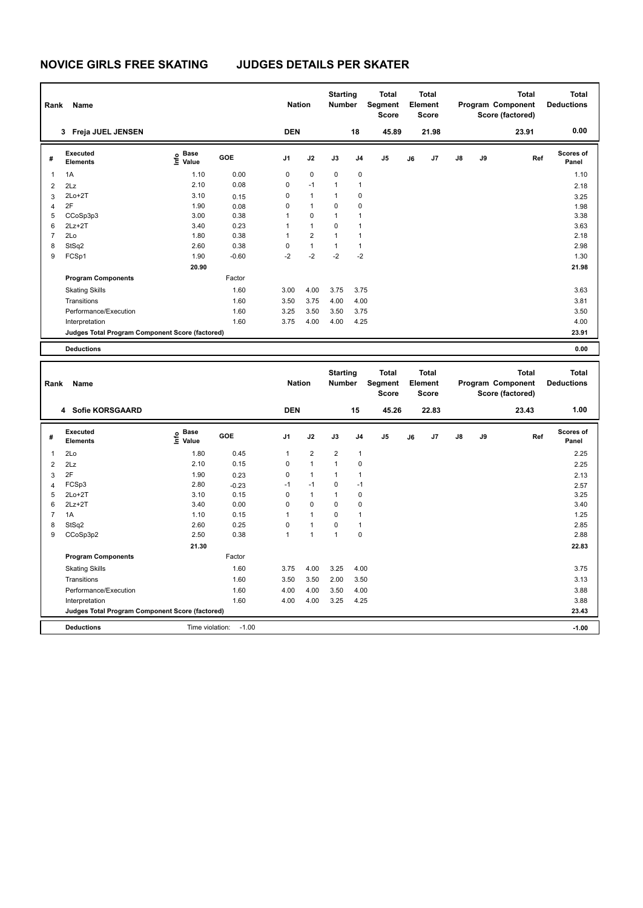| Rank           | Name                                            |                                           |         | <b>Nation</b> |                | <b>Starting</b><br>Number |              | Total<br>Segment<br><b>Score</b> |    | Total<br>Element<br><b>Score</b> |    |    | <b>Total</b><br>Program Component<br>Score (factored) | <b>Total</b><br><b>Deductions</b> |
|----------------|-------------------------------------------------|-------------------------------------------|---------|---------------|----------------|---------------------------|--------------|----------------------------------|----|----------------------------------|----|----|-------------------------------------------------------|-----------------------------------|
|                | 3 Freja JUEL JENSEN                             |                                           |         | <b>DEN</b>    |                |                           | 18           | 45.89                            |    | 21.98                            |    |    | 23.91                                                 | 0.00                              |
| #              | Executed<br><b>Elements</b>                     | e Base<br>E Value                         | GOE     | J1            | J2             | J3                        | J4           | J5                               | J6 | J7                               | J8 | J9 | Ref                                                   | <b>Scores of</b><br>Panel         |
| 1              | 1A                                              | 1.10                                      | 0.00    | $\mathbf 0$   | $\pmb{0}$      | $\mathbf 0$               | $\pmb{0}$    |                                  |    |                                  |    |    |                                                       | 1.10                              |
| $\overline{2}$ | 2Lz                                             | 2.10                                      | 0.08    | 0             | $-1$           | $\mathbf{1}$              | 1            |                                  |    |                                  |    |    |                                                       | 2.18                              |
| 3              | $2Lo+2T$                                        | 3.10                                      | 0.15    | $\mathbf 0$   | $\mathbf{1}$   | $\mathbf{1}$              | 0            |                                  |    |                                  |    |    |                                                       | 3.25                              |
| 4              | 2F                                              | 1.90                                      | 0.08    | $\mathbf 0$   | $\mathbf{1}$   | $\mathbf 0$               | $\mathbf 0$  |                                  |    |                                  |    |    |                                                       | 1.98                              |
| 5              | CCoSp3p3                                        | 3.00                                      | 0.38    | $\mathbf{1}$  | $\mathbf 0$    | $\mathbf{1}$              | 1            |                                  |    |                                  |    |    |                                                       | 3.38                              |
| 6              | $2Lz+2T$                                        | 3.40                                      | 0.23    | $\mathbf{1}$  | $\mathbf{1}$   | $\mathbf 0$               | $\mathbf{1}$ |                                  |    |                                  |    |    |                                                       | 3.63                              |
| $\overline{7}$ | 2Lo                                             | 1.80                                      | 0.38    | $\mathbf{1}$  | $\overline{2}$ | $\mathbf{1}$              | $\mathbf{1}$ |                                  |    |                                  |    |    |                                                       | 2.18                              |
| 8              | StSq2                                           | 2.60                                      | 0.38    | $\mathbf 0$   | $\mathbf{1}$   | $\mathbf{1}$              | $\mathbf{1}$ |                                  |    |                                  |    |    |                                                       | 2.98                              |
| 9              | FCSp1                                           | 1.90                                      | $-0.60$ | $-2$          | $-2$           | $-2$                      | $-2$         |                                  |    |                                  |    |    |                                                       | 1.30                              |
|                |                                                 | 20.90                                     |         |               |                |                           |              |                                  |    |                                  |    |    |                                                       | 21.98                             |
|                | <b>Program Components</b>                       |                                           | Factor  |               |                |                           |              |                                  |    |                                  |    |    |                                                       |                                   |
|                | <b>Skating Skills</b>                           |                                           | 1.60    | 3.00          | 4.00           | 3.75                      | 3.75         |                                  |    |                                  |    |    |                                                       | 3.63                              |
|                | Transitions                                     |                                           | 1.60    | 3.50          | 3.75           | 4.00                      | 4.00         |                                  |    |                                  |    |    |                                                       | 3.81                              |
|                | Performance/Execution                           |                                           | 1.60    | 3.25          | 3.50           | 3.50                      | 3.75         |                                  |    |                                  |    |    |                                                       | 3.50                              |
|                | Interpretation                                  |                                           | 1.60    | 3.75          | 4.00           | 4.00                      | 4.25         |                                  |    |                                  |    |    |                                                       | 4.00                              |
|                | Judges Total Program Component Score (factored) |                                           |         |               |                |                           |              |                                  |    |                                  |    |    |                                                       | 23.91                             |
|                | <b>Deductions</b>                               |                                           |         |               |                |                           |              |                                  |    |                                  |    |    |                                                       | 0.00                              |
|                |                                                 |                                           |         |               |                |                           |              |                                  |    |                                  |    |    |                                                       |                                   |
|                |                                                 |                                           |         |               |                | <b>Starting</b>           |              | <b>Total</b>                     |    | <b>Total</b>                     |    |    | <b>Total</b>                                          | <b>Total</b>                      |
| Rank           | Name                                            |                                           |         | <b>Nation</b> |                | <b>Number</b>             |              | Segment                          |    | Element                          |    |    | Program Component                                     | <b>Deductions</b>                 |
|                |                                                 |                                           |         |               |                |                           |              | <b>Score</b>                     |    | <b>Score</b>                     |    |    | Score (factored)                                      |                                   |
|                |                                                 |                                           |         |               |                |                           |              |                                  |    |                                  |    |    |                                                       |                                   |
|                | 4 Sofie KORSGAARD                               |                                           |         | <b>DEN</b>    |                |                           | 15           | 45.26                            |    | 22.83                            |    |    | 23.43                                                 | 1.00                              |
| #              | Executed<br><b>Elements</b>                     | $\frac{e}{E}$ Base<br>$\frac{E}{E}$ Value | GOE     | J1            | J2             | J3                        | J4           | J5                               | J6 | J7                               | J8 | J9 | Ref                                                   | <b>Scores of</b><br>Panel         |
| 1              | 2Lo                                             | 1.80                                      | 0.45    | 1             | $\overline{2}$ | $\mathbf 2$               | $\mathbf{1}$ |                                  |    |                                  |    |    |                                                       | 2.25                              |
| $\overline{2}$ | 2Lz                                             | 2.10                                      | 0.15    | 0             | $\mathbf{1}$   | $\mathbf{1}$              | 0            |                                  |    |                                  |    |    |                                                       | 2.25                              |
| 3              | 2F                                              | 1.90                                      | 0.23    | $\mathbf 0$   | $\mathbf{1}$   | $\mathbf{1}$              | 1            |                                  |    |                                  |    |    |                                                       | 2.13                              |
| 4              |                                                 |                                           |         |               |                |                           |              |                                  |    |                                  |    |    |                                                       |                                   |
| 5              | FCSp3                                           | 2.80                                      | $-0.23$ | $-1$          | $-1$           | $\mathbf 0$               | $-1$         |                                  |    |                                  |    |    |                                                       | 2.57                              |
|                | $2Lo+2T$                                        | 3.10                                      | 0.15    | $\mathbf 0$   | $\mathbf{1}$   | $\mathbf{1}$              | 0            |                                  |    |                                  |    |    |                                                       | 3.25                              |
| 6              | $2Lz+2T$                                        | 3.40                                      | 0.00    | $\mathbf 0$   | $\mathbf 0$    | $\mathbf 0$               | $\mathbf 0$  |                                  |    |                                  |    |    |                                                       | 3.40                              |
| $\overline{7}$ | 1A                                              | 1.10                                      | 0.15    | $\mathbf{1}$  | $\mathbf{1}$   | $\mathbf 0$               | $\mathbf{1}$ |                                  |    |                                  |    |    |                                                       | 1.25                              |
| 8              | StSq2                                           | 2.60                                      | 0.25    | $\mathbf 0$   | $\mathbf{1}$   | $\mathbf 0$               | $\mathbf{1}$ |                                  |    |                                  |    |    |                                                       | 2.85                              |
| 9              | CCoSp3p2                                        | 2.50                                      | 0.38    | $\mathbf{1}$  | $\mathbf{1}$   | $\mathbf{1}$              | $\mathbf 0$  |                                  |    |                                  |    |    |                                                       | 2.88                              |
|                |                                                 | 21.30                                     |         |               |                |                           |              |                                  |    |                                  |    |    |                                                       | 22.83                             |
|                | <b>Program Components</b>                       |                                           | Factor  |               |                |                           |              |                                  |    |                                  |    |    |                                                       |                                   |
|                | <b>Skating Skills</b>                           |                                           | 1.60    | 3.75          | 4.00           | 3.25                      | 4.00         |                                  |    |                                  |    |    |                                                       | 3.75                              |
|                | Transitions                                     |                                           | 1.60    | 3.50          | 3.50           | 2.00                      | 3.50         |                                  |    |                                  |    |    |                                                       | 3.13                              |
|                | Performance/Execution                           |                                           | 1.60    | 4.00          | 4.00           | 3.50                      | 4.00         |                                  |    |                                  |    |    |                                                       | 3.88                              |
|                | Interpretation                                  |                                           | 1.60    | 4.00          | 4.00           | 3.25                      | 4.25         |                                  |    |                                  |    |    |                                                       | 3.88                              |

**Deductions** Time violation: -1.00 **-1.00**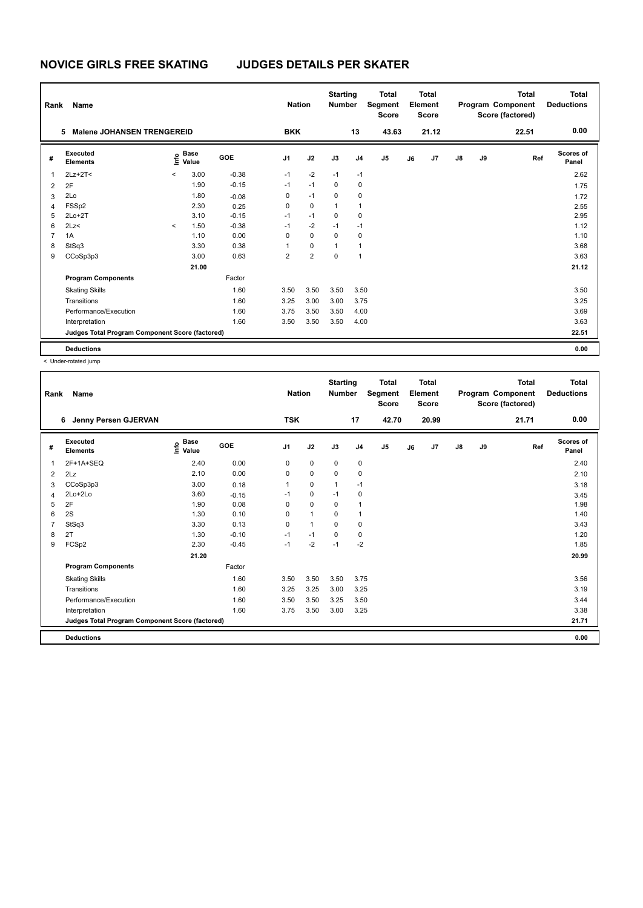| Rank           | Name                                            | <b>Nation</b> |                      | <b>Starting</b><br><b>Number</b> |                | <b>Total</b><br>Segment<br><b>Score</b> |              | <b>Total</b><br>Element<br><b>Score</b> |                |    | <b>Total</b><br>Program Component<br>Score (factored) | <b>Total</b><br><b>Deductions</b> |    |       |                    |
|----------------|-------------------------------------------------|---------------|----------------------|----------------------------------|----------------|-----------------------------------------|--------------|-----------------------------------------|----------------|----|-------------------------------------------------------|-----------------------------------|----|-------|--------------------|
|                | <b>Malene JOHANSEN TRENGEREID</b><br>5          |               |                      |                                  | <b>BKK</b>     |                                         |              | 13                                      | 43.63          |    | 21.12                                                 |                                   |    | 22.51 | 0.00               |
| #              | Executed<br><b>Elements</b>                     | ۴o            | <b>Base</b><br>Value | GOE                              | J <sub>1</sub> | J2                                      | J3           | J <sub>4</sub>                          | J <sub>5</sub> | J6 | J7                                                    | $\mathsf{J}8$                     | J9 | Ref   | Scores of<br>Panel |
| $\mathbf{1}$   | $2Lz+2T2$                                       | $\prec$       | 3.00                 | $-0.38$                          | $-1$           | $-2$                                    | $-1$         | $-1$                                    |                |    |                                                       |                                   |    |       | 2.62               |
| $\overline{2}$ | 2F                                              |               | 1.90                 | $-0.15$                          | $-1$           | $-1$                                    | 0            | 0                                       |                |    |                                                       |                                   |    |       | 1.75               |
| 3              | 2Lo                                             |               | 1.80                 | $-0.08$                          | 0              | $-1$                                    | $\mathbf 0$  | 0                                       |                |    |                                                       |                                   |    |       | 1.72               |
| 4              | FSSp2                                           |               | 2.30                 | 0.25                             | 0              | $\mathbf 0$                             | $\mathbf{1}$ | 1                                       |                |    |                                                       |                                   |    |       | 2.55               |
| 5              | $2Lo+2T$                                        |               | 3.10                 | $-0.15$                          | $-1$           | $-1$                                    | $\Omega$     | $\mathbf 0$                             |                |    |                                                       |                                   |    |       | 2.95               |
| 6              | 2Lz                                             | $\prec$       | 1.50                 | $-0.38$                          | $-1$           | $-2$                                    | $-1$         | $-1$                                    |                |    |                                                       |                                   |    |       | 1.12               |
| $\overline{7}$ | 1A                                              |               | 1.10                 | 0.00                             | 0              | $\mathbf 0$                             | $\mathbf 0$  | $\mathbf 0$                             |                |    |                                                       |                                   |    |       | 1.10               |
| 8              | StSq3                                           |               | 3.30                 | 0.38                             | 1              | $\mathbf 0$                             | $\mathbf{1}$ | $\mathbf{1}$                            |                |    |                                                       |                                   |    |       | 3.68               |
| 9              | CCoSp3p3                                        |               | 3.00                 | 0.63                             | $\overline{2}$ | $\overline{2}$                          | $\mathbf 0$  | $\overline{1}$                          |                |    |                                                       |                                   |    |       | 3.63               |
|                |                                                 |               | 21.00                |                                  |                |                                         |              |                                         |                |    |                                                       |                                   |    |       | 21.12              |
|                | <b>Program Components</b>                       |               |                      | Factor                           |                |                                         |              |                                         |                |    |                                                       |                                   |    |       |                    |
|                | <b>Skating Skills</b>                           |               |                      | 1.60                             | 3.50           | 3.50                                    | 3.50         | 3.50                                    |                |    |                                                       |                                   |    |       | 3.50               |
|                | Transitions                                     |               |                      | 1.60                             | 3.25           | 3.00                                    | 3.00         | 3.75                                    |                |    |                                                       |                                   |    |       | 3.25               |
|                | Performance/Execution                           |               |                      | 1.60                             | 3.75           | 3.50                                    | 3.50         | 4.00                                    |                |    |                                                       |                                   |    |       | 3.69               |
|                | Interpretation                                  |               |                      | 1.60                             | 3.50           | 3.50                                    | 3.50         | 4.00                                    |                |    |                                                       |                                   |    |       | 3.63               |
|                | Judges Total Program Component Score (factored) |               |                      |                                  |                |                                         |              |                                         |                |    |                                                       |                                   |    |       | 22.51              |
|                | <b>Deductions</b>                               |               |                      |                                  |                |                                         |              |                                         |                |    |                                                       |                                   |    |       | 0.00               |

| Rank | Name                                            |                                           |            | <b>Nation</b>  |              | <b>Starting</b><br><b>Number</b> |                | <b>Total</b><br>Segment<br><b>Score</b> |    | Total<br>Element<br><b>Score</b> |               |    | <b>Total</b><br>Program Component<br>Score (factored) | Total<br><b>Deductions</b> |
|------|-------------------------------------------------|-------------------------------------------|------------|----------------|--------------|----------------------------------|----------------|-----------------------------------------|----|----------------------------------|---------------|----|-------------------------------------------------------|----------------------------|
|      | Jenny Persen GJERVAN<br>6                       |                                           |            | <b>TSK</b>     |              |                                  | 17             | 42.70                                   |    | 20.99                            |               |    | 21.71                                                 | 0.00                       |
| #    | Executed<br><b>Elements</b>                     | $\frac{e}{E}$ Base<br>$\frac{e}{E}$ Value | <b>GOE</b> | J <sub>1</sub> | J2           | J3                               | J <sub>4</sub> | J <sub>5</sub>                          | J6 | J7                               | $\mathsf{J}8$ | J9 | Ref                                                   | <b>Scores of</b><br>Panel  |
| 1    | 2F+1A+SEQ                                       | 2.40                                      | 0.00       | 0              | 0            | 0                                | 0              |                                         |    |                                  |               |    |                                                       | 2.40                       |
| 2    | 2Lz                                             | 2.10                                      | 0.00       | $\Omega$       | $\Omega$     | $\Omega$                         | $\mathbf 0$    |                                         |    |                                  |               |    |                                                       | 2.10                       |
| 3    | CCoSp3p3                                        | 3.00                                      | 0.18       | 1              | 0            | 1                                | $-1$           |                                         |    |                                  |               |    |                                                       | 3.18                       |
| 4    | 2Lo+2Lo                                         | 3.60                                      | $-0.15$    | $-1$           | 0            | $-1$                             | 0              |                                         |    |                                  |               |    |                                                       | 3.45                       |
| 5    | 2F                                              | 1.90                                      | 0.08       | $\Omega$       | $\Omega$     | $\Omega$                         | $\mathbf{1}$   |                                         |    |                                  |               |    |                                                       | 1.98                       |
| 6    | 2S                                              | 1.30                                      | 0.10       | 0              | $\mathbf{1}$ | 0                                | $\mathbf{1}$   |                                         |    |                                  |               |    |                                                       | 1.40                       |
| 7    | StSq3                                           | 3.30                                      | 0.13       | 0              | 1            | $\Omega$                         | 0              |                                         |    |                                  |               |    |                                                       | 3.43                       |
| 8    | 2T                                              | 1.30                                      | $-0.10$    | $-1$           | $-1$         | $\Omega$                         | 0              |                                         |    |                                  |               |    |                                                       | 1.20                       |
| 9    | FCSp2                                           | 2.30                                      | $-0.45$    | $-1$           | $-2$         | $-1$                             | $-2$           |                                         |    |                                  |               |    |                                                       | 1.85                       |
|      |                                                 | 21.20                                     |            |                |              |                                  |                |                                         |    |                                  |               |    |                                                       | 20.99                      |
|      | <b>Program Components</b>                       |                                           | Factor     |                |              |                                  |                |                                         |    |                                  |               |    |                                                       |                            |
|      | <b>Skating Skills</b>                           |                                           | 1.60       | 3.50           | 3.50         | 3.50                             | 3.75           |                                         |    |                                  |               |    |                                                       | 3.56                       |
|      | Transitions                                     |                                           | 1.60       | 3.25           | 3.25         | 3.00                             | 3.25           |                                         |    |                                  |               |    |                                                       | 3.19                       |
|      | Performance/Execution                           |                                           | 1.60       | 3.50           | 3.50         | 3.25                             | 3.50           |                                         |    |                                  |               |    |                                                       | 3.44                       |
|      | Interpretation                                  |                                           | 1.60       | 3.75           | 3.50         | 3.00                             | 3.25           |                                         |    |                                  |               |    |                                                       | 3.38                       |
|      | Judges Total Program Component Score (factored) |                                           |            |                |              |                                  |                |                                         |    |                                  |               |    |                                                       | 21.71                      |
|      | <b>Deductions</b>                               |                                           |            |                |              |                                  |                |                                         |    |                                  |               |    |                                                       | 0.00                       |
|      |                                                 |                                           |            |                |              |                                  |                |                                         |    |                                  |               |    |                                                       |                            |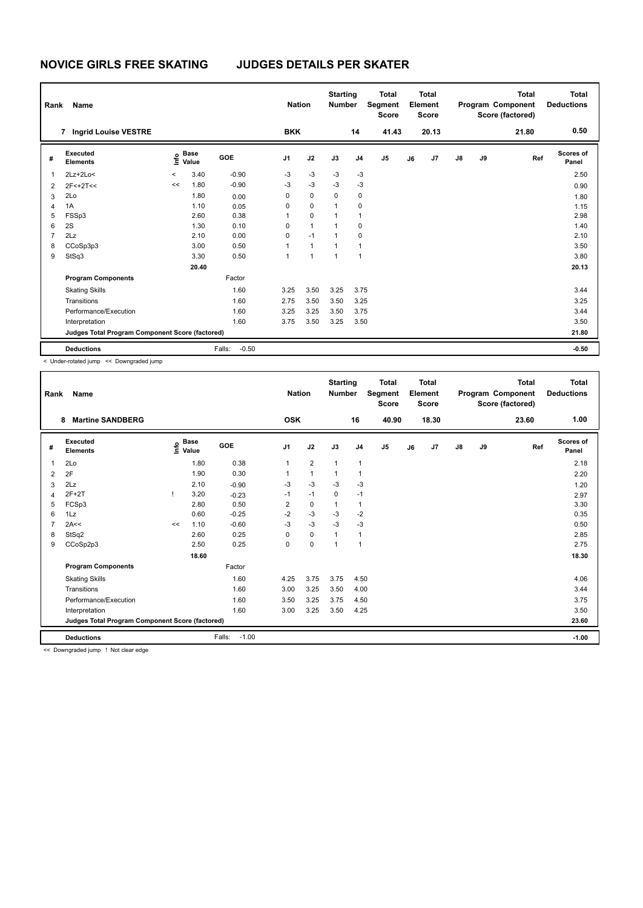| Rank           | Name                                            |         |                      |                   | <b>Nation</b>  |              | <b>Starting</b><br><b>Number</b> |                | <b>Total</b><br>Segment<br><b>Score</b> |    | Total<br>Element<br><b>Score</b> |               |    | <b>Total</b><br>Program Component<br>Score (factored) | Total<br><b>Deductions</b> |
|----------------|-------------------------------------------------|---------|----------------------|-------------------|----------------|--------------|----------------------------------|----------------|-----------------------------------------|----|----------------------------------|---------------|----|-------------------------------------------------------|----------------------------|
|                | <b>Ingrid Louise VESTRE</b><br>7                |         |                      |                   | <b>BKK</b>     |              |                                  | 14             | 41.43                                   |    | 20.13                            |               |    | 21.80                                                 | 0.50                       |
| #              | Executed<br><b>Elements</b>                     | lnfo    | <b>Base</b><br>Value | GOE               | J <sub>1</sub> | J2           | J3                               | J <sub>4</sub> | J <sub>5</sub>                          | J6 | J7                               | $\mathsf{J}8$ | J9 | Ref                                                   | Scores of<br>Panel         |
| 1              | $2Lz+2Lo<$                                      | $\prec$ | 3.40                 | $-0.90$           | $-3$           | $-3$         | $-3$                             | $-3$           |                                         |    |                                  |               |    |                                                       | 2.50                       |
| 2              | $2F<+2T<<$                                      | <<      | 1.80                 | $-0.90$           | $-3$           | $-3$         | $-3$                             | $-3$           |                                         |    |                                  |               |    |                                                       | 0.90                       |
| 3              | 2Lo                                             |         | 1.80                 | 0.00              | 0              | $\mathbf 0$  | $\mathbf 0$                      | 0              |                                         |    |                                  |               |    |                                                       | 1.80                       |
| $\overline{4}$ | 1A                                              |         | 1.10                 | 0.05              | 0              | $\mathbf 0$  | $\mathbf{1}$                     | $\mathbf 0$    |                                         |    |                                  |               |    |                                                       | 1.15                       |
| 5              | FSSp3                                           |         | 2.60                 | 0.38              | 1              | $\mathbf 0$  | $\mathbf{1}$                     | $\mathbf{1}$   |                                         |    |                                  |               |    |                                                       | 2.98                       |
| 6              | 2S                                              |         | 1.30                 | 0.10              | 0              | $\mathbf{1}$ | 1                                | 0              |                                         |    |                                  |               |    |                                                       | 1.40                       |
| $\overline{7}$ | 2Lz                                             |         | 2.10                 | 0.00              | 0              | $-1$         | 1                                | 0              |                                         |    |                                  |               |    |                                                       | 2.10                       |
| 8              | CCoSp3p3                                        |         | 3.00                 | 0.50              | 1              | $\mathbf{1}$ | $\mathbf{1}$                     | 1              |                                         |    |                                  |               |    |                                                       | 3.50                       |
| 9              | StSq3                                           |         | 3.30                 | 0.50              | 1              | $\mathbf{1}$ | $\mathbf{1}$                     | $\mathbf{1}$   |                                         |    |                                  |               |    |                                                       | 3.80                       |
|                |                                                 |         | 20.40                |                   |                |              |                                  |                |                                         |    |                                  |               |    |                                                       | 20.13                      |
|                | <b>Program Components</b>                       |         |                      | Factor            |                |              |                                  |                |                                         |    |                                  |               |    |                                                       |                            |
|                | <b>Skating Skills</b>                           |         |                      | 1.60              | 3.25           | 3.50         | 3.25                             | 3.75           |                                         |    |                                  |               |    |                                                       | 3.44                       |
|                | Transitions                                     |         |                      | 1.60              | 2.75           | 3.50         | 3.50                             | 3.25           |                                         |    |                                  |               |    |                                                       | 3.25                       |
|                | Performance/Execution                           |         |                      | 1.60              | 3.25           | 3.25         | 3.50                             | 3.75           |                                         |    |                                  |               |    |                                                       | 3.44                       |
|                | Interpretation                                  |         |                      | 1.60              | 3.75           | 3.50         | 3.25                             | 3.50           |                                         |    |                                  |               |    |                                                       | 3.50                       |
|                | Judges Total Program Component Score (factored) |         |                      |                   |                |              |                                  |                |                                         |    |                                  |               |    |                                                       | 21.80                      |
|                | <b>Deductions</b>                               |         |                      | $-0.50$<br>Falls: |                |              |                                  |                |                                         |    |                                  |               |    |                                                       | $-0.50$                    |

< Under-rotated jump << Downgraded jump

| Rank | Name                                            |    |                                  |                   | <b>Nation</b>  |                | <b>Starting</b><br><b>Number</b> |                | <b>Total</b><br>Segment<br><b>Score</b> |    | <b>Total</b><br>Element<br><b>Score</b> |    |    | <b>Total</b><br>Program Component<br>Score (factored) | <b>Total</b><br><b>Deductions</b> |
|------|-------------------------------------------------|----|----------------------------------|-------------------|----------------|----------------|----------------------------------|----------------|-----------------------------------------|----|-----------------------------------------|----|----|-------------------------------------------------------|-----------------------------------|
|      | <b>Martine SANDBERG</b><br>8                    |    |                                  |                   | <b>OSK</b>     |                |                                  | 16             | 40.90                                   |    | 18.30                                   |    |    | 23.60                                                 | 1.00                              |
| #    | Executed<br><b>Elements</b>                     |    | <b>Base</b><br>o Base<br>⊆ Value | <b>GOE</b>        | J <sub>1</sub> | J2             | J3                               | J <sub>4</sub> | J <sub>5</sub>                          | J6 | J7                                      | J8 | J9 | Ref                                                   | <b>Scores of</b><br>Panel         |
| 1    | 2Lo                                             |    | 1.80                             | 0.38              | 1              | $\overline{2}$ | $\mathbf{1}$                     | $\mathbf{1}$   |                                         |    |                                         |    |    |                                                       | 2.18                              |
| 2    | 2F                                              |    | 1.90                             | 0.30              |                | 1              | 1                                | 1              |                                         |    |                                         |    |    |                                                       | 2.20                              |
| 3    | 2Lz                                             |    | 2.10                             | $-0.90$           | $-3$           | $-3$           | $-3$                             | $-3$           |                                         |    |                                         |    |    |                                                       | 1.20                              |
| 4    | $2F+2T$                                         |    | 3.20                             | $-0.23$           | $-1$           | $-1$           | $\mathbf 0$                      | $-1$           |                                         |    |                                         |    |    |                                                       | 2.97                              |
| 5    | FCSp3                                           |    | 2.80                             | 0.50              | $\overline{2}$ | 0              | 1                                | 1              |                                         |    |                                         |    |    |                                                       | 3.30                              |
| 6    | 1Lz                                             |    | 0.60                             | $-0.25$           | $-2$           | $-3$           | $-3$                             | $-2$           |                                         |    |                                         |    |    |                                                       | 0.35                              |
|      | 2A<<                                            | << | 1.10                             | $-0.60$           | $-3$           | $-3$           | $-3$                             | $-3$           |                                         |    |                                         |    |    |                                                       | 0.50                              |
| 8    | StSq2                                           |    | 2.60                             | 0.25              | 0              | 0              | 1                                | 1              |                                         |    |                                         |    |    |                                                       | 2.85                              |
| 9    | CCoSp2p3                                        |    | 2.50                             | 0.25              | 0              | $\Omega$       | $\mathbf{1}$                     | $\mathbf{1}$   |                                         |    |                                         |    |    |                                                       | 2.75                              |
|      |                                                 |    | 18.60                            |                   |                |                |                                  |                |                                         |    |                                         |    |    |                                                       | 18.30                             |
|      | <b>Program Components</b>                       |    |                                  | Factor            |                |                |                                  |                |                                         |    |                                         |    |    |                                                       |                                   |
|      | <b>Skating Skills</b>                           |    |                                  | 1.60              | 4.25           | 3.75           | 3.75                             | 4.50           |                                         |    |                                         |    |    |                                                       | 4.06                              |
|      | Transitions                                     |    |                                  | 1.60              | 3.00           | 3.25           | 3.50                             | 4.00           |                                         |    |                                         |    |    |                                                       | 3.44                              |
|      | Performance/Execution                           |    |                                  | 1.60              | 3.50           | 3.25           | 3.75                             | 4.50           |                                         |    |                                         |    |    |                                                       | 3.75                              |
|      | Interpretation                                  |    |                                  | 1.60              | 3.00           | 3.25           | 3.50                             | 4.25           |                                         |    |                                         |    |    |                                                       | 3.50                              |
|      | Judges Total Program Component Score (factored) |    |                                  |                   |                |                |                                  |                |                                         |    |                                         |    |    |                                                       | 23.60                             |
|      | <b>Deductions</b>                               |    |                                  | $-1.00$<br>Falls: |                |                |                                  |                |                                         |    |                                         |    |    |                                                       | $-1.00$                           |

<< Downgraded jump ! Not clear edge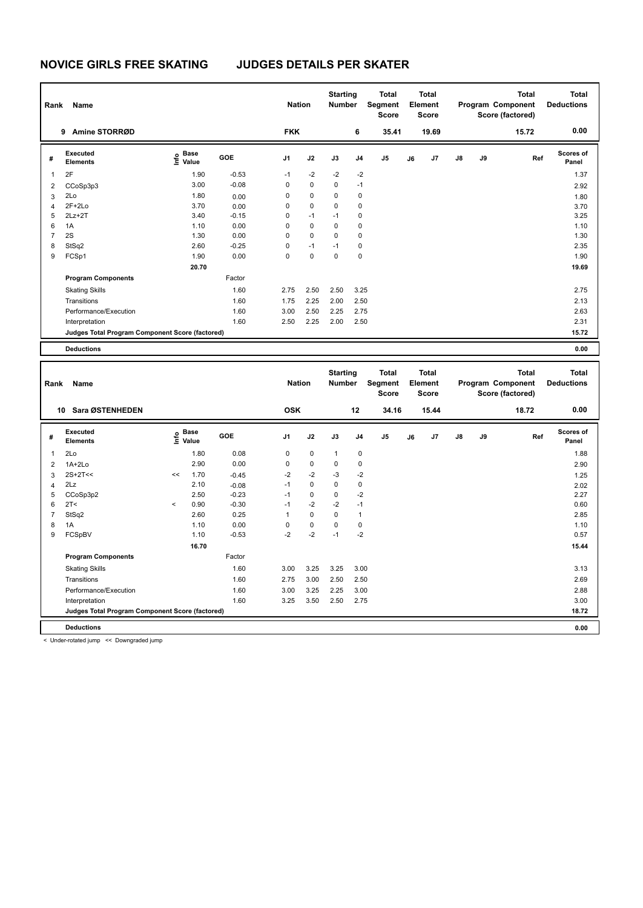| Rank           | Name                                            |                                  |         | <b>Nation</b>  |             | <b>Starting</b><br><b>Number</b> |                | Total<br>Segment<br><b>Score</b> |    | <b>Total</b><br>Element<br><b>Score</b> |               |    | <b>Total</b><br>Program Component<br>Score (factored) | <b>Total</b><br><b>Deductions</b> |
|----------------|-------------------------------------------------|----------------------------------|---------|----------------|-------------|----------------------------------|----------------|----------------------------------|----|-----------------------------------------|---------------|----|-------------------------------------------------------|-----------------------------------|
|                | Amine STORRØD<br>9                              |                                  |         | <b>FKK</b>     |             |                                  | 6              | 35.41                            |    | 19.69                                   |               |    | 15.72                                                 | 0.00                              |
| #              | Executed<br><b>Elements</b>                     | <b>Base</b><br>e Base<br>⊆ Value | GOE     | J <sub>1</sub> | J2          | J3                               | J <sub>4</sub> | J5                               | J6 | J7                                      | $\mathsf{J}8$ | J9 | Ref                                                   | Scores of<br>Panel                |
| 1              | 2F                                              | 1.90                             | $-0.53$ | $-1$           | $-2$        | $-2$                             | $-2$           |                                  |    |                                         |               |    |                                                       | 1.37                              |
| 2              | CCoSp3p3                                        | 3.00                             | $-0.08$ | 0              | $\mathbf 0$ | $\mathbf 0$                      | $-1$           |                                  |    |                                         |               |    |                                                       | 2.92                              |
| 3              | 2Lo                                             | 1.80                             | 0.00    | 0              | $\mathbf 0$ | $\mathbf 0$                      | $\mathbf 0$    |                                  |    |                                         |               |    |                                                       | 1.80                              |
| 4              | $2F+2Lo$                                        | 3.70                             | 0.00    | 0              | $\mathbf 0$ | $\mathbf 0$                      | $\mathbf 0$    |                                  |    |                                         |               |    |                                                       | 3.70                              |
| 5              | $2Lz+2T$                                        | 3.40                             | $-0.15$ | 0              | $-1$        | $-1$                             | 0              |                                  |    |                                         |               |    |                                                       | 3.25                              |
| 6              | 1A                                              | 1.10                             | 0.00    | $\Omega$       | $\mathbf 0$ | $\mathbf 0$                      | 0              |                                  |    |                                         |               |    |                                                       | 1.10                              |
| $\overline{7}$ | 2S                                              | 1.30                             | 0.00    | 0              | $\mathbf 0$ | $\Omega$                         | 0              |                                  |    |                                         |               |    |                                                       | 1.30                              |
| 8              | StSq2                                           | 2.60                             | $-0.25$ | $\Omega$       | $-1$        | $-1$                             | 0              |                                  |    |                                         |               |    |                                                       | 2.35                              |
| 9              | FCSp1                                           | 1.90                             | 0.00    | 0              | $\mathbf 0$ | 0                                | 0              |                                  |    |                                         |               |    |                                                       | 1.90                              |
|                |                                                 | 20.70                            |         |                |             |                                  |                |                                  |    |                                         |               |    |                                                       | 19.69                             |
|                | <b>Program Components</b>                       |                                  | Factor  |                |             |                                  |                |                                  |    |                                         |               |    |                                                       |                                   |
|                | <b>Skating Skills</b>                           |                                  | 1.60    | 2.75           | 2.50        | 2.50                             | 3.25           |                                  |    |                                         |               |    |                                                       | 2.75                              |
|                | Transitions                                     |                                  | 1.60    | 1.75           | 2.25        | 2.00                             | 2.50           |                                  |    |                                         |               |    |                                                       | 2.13                              |
|                | Performance/Execution                           |                                  | 1.60    | 3.00           | 2.50        | 2.25                             | 2.75           |                                  |    |                                         |               |    |                                                       | 2.63                              |
|                | Interpretation                                  |                                  | 1.60    | 2.50           | 2.25        | 2.00                             | 2.50           |                                  |    |                                         |               |    |                                                       | 2.31                              |
|                | Judges Total Program Component Score (factored) |                                  |         |                |             |                                  |                |                                  |    |                                         |               |    |                                                       | 15.72                             |
|                | <b>Deductions</b>                               |                                  |         |                |             |                                  |                |                                  |    |                                         |               |    |                                                       | 0.00                              |
|                |                                                 |                                  |         |                |             |                                  |                |                                  |    |                                         |               |    |                                                       |                                   |
|                |                                                 |                                  |         | -- -           |             | <b>Starting</b>                  |                | <b>Total</b>                     |    | <b>Total</b>                            |               |    | <b>Total</b>                                          | <b>Total</b>                      |

| Rank | Name                                            |           |                                  |         | <b>Nation</b>  |             | Starting<br><b>Number</b> |                | Total<br>Segment<br><b>Score</b> |    | ιοται<br>Element<br><b>Score</b> |               |    | тотаг<br>Program Component<br>Score (factored) | Total<br><b>Deductions</b> |
|------|-------------------------------------------------|-----------|----------------------------------|---------|----------------|-------------|---------------------------|----------------|----------------------------------|----|----------------------------------|---------------|----|------------------------------------------------|----------------------------|
|      | Sara ØSTENHEDEN<br>10                           |           |                                  |         | <b>OSK</b>     |             |                           | 12             | 34.16                            |    | 15.44                            |               |    | 18.72                                          | 0.00                       |
| #    | <b>Executed</b><br><b>Elements</b>              |           | <b>Base</b><br>e Base<br>⊆ Value | GOE     | J <sub>1</sub> | J2          | J3                        | J <sub>4</sub> | J <sub>5</sub>                   | J6 | J <sub>7</sub>                   | $\mathsf{J}8$ | J9 | Ref                                            | Scores of<br>Panel         |
| 1    | 2Lo                                             |           | 1.80                             | 0.08    | 0              | $\mathbf 0$ | $\mathbf{1}$              | 0              |                                  |    |                                  |               |    |                                                | 1.88                       |
| 2    | $1A+2Lo$                                        |           | 2.90                             | 0.00    | 0              | $\pmb{0}$   | 0                         | 0              |                                  |    |                                  |               |    |                                                | 2.90                       |
| 3    | $2S+2T<<$                                       | <<        | 1.70                             | $-0.45$ | $-2$           | $-2$        | $-3$                      | $-2$           |                                  |    |                                  |               |    |                                                | 1.25                       |
| 4    | 2Lz                                             |           | 2.10                             | $-0.08$ | $-1$           | 0           | $\Omega$                  | 0              |                                  |    |                                  |               |    |                                                | 2.02                       |
| 5    | CCoSp3p2                                        |           | 2.50                             | $-0.23$ | $-1$           | $\mathbf 0$ | 0                         | $-2$           |                                  |    |                                  |               |    |                                                | 2.27                       |
| 6    | 2T <                                            | $\hat{~}$ | 0.90                             | $-0.30$ | $-1$           | $-2$        | $-2$                      | $-1$           |                                  |    |                                  |               |    |                                                | 0.60                       |
| 7    | StSq2                                           |           | 2.60                             | 0.25    | 1              | 0           | 0                         | 1              |                                  |    |                                  |               |    |                                                | 2.85                       |
| 8    | 1A                                              |           | 1.10                             | 0.00    | 0              | 0           | 0                         | 0              |                                  |    |                                  |               |    |                                                | 1.10                       |
| 9    | FCSpBV                                          |           | 1.10                             | $-0.53$ | $-2$           | $-2$        | $-1$                      | $-2$           |                                  |    |                                  |               |    |                                                | 0.57                       |
|      |                                                 |           | 16.70                            |         |                |             |                           |                |                                  |    |                                  |               |    |                                                | 15.44                      |
|      | <b>Program Components</b>                       |           |                                  | Factor  |                |             |                           |                |                                  |    |                                  |               |    |                                                |                            |
|      | <b>Skating Skills</b>                           |           |                                  | 1.60    | 3.00           | 3.25        | 3.25                      | 3.00           |                                  |    |                                  |               |    |                                                | 3.13                       |
|      | Transitions                                     |           |                                  | 1.60    | 2.75           | 3.00        | 2.50                      | 2.50           |                                  |    |                                  |               |    |                                                | 2.69                       |
|      | Performance/Execution                           |           |                                  | 1.60    | 3.00           | 3.25        | 2.25                      | 3.00           |                                  |    |                                  |               |    |                                                | 2.88                       |
|      | Interpretation                                  |           |                                  | 1.60    | 3.25           | 3.50        | 2.50                      | 2.75           |                                  |    |                                  |               |    |                                                | 3.00                       |
|      | Judges Total Program Component Score (factored) |           |                                  |         |                |             |                           |                |                                  |    |                                  |               |    |                                                | 18.72                      |
|      | <b>Deductions</b>                               |           |                                  |         |                |             |                           |                |                                  |    |                                  |               |    |                                                | 0.00                       |

< Under-rotated jump << Downgraded jump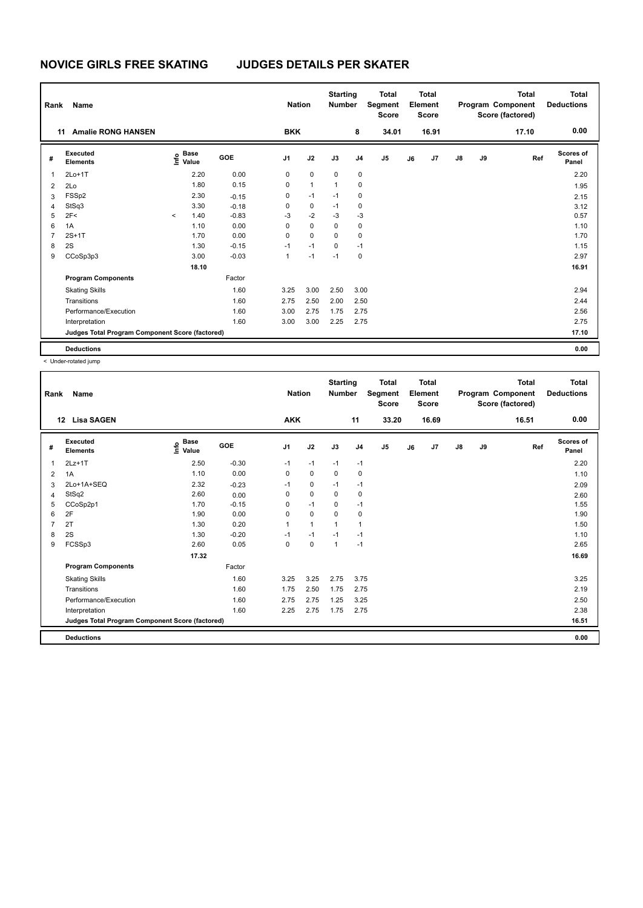| Rank           | Name                                            |         | <b>Nation</b>        |            | <b>Starting</b><br><b>Number</b> |              | <b>Total</b><br>Segment<br><b>Score</b> |      | <b>Total</b><br>Element<br><b>Score</b> |    |       | <b>Total</b><br>Program Component<br>Score (factored) | <b>Total</b><br><b>Deductions</b> |       |                           |
|----------------|-------------------------------------------------|---------|----------------------|------------|----------------------------------|--------------|-----------------------------------------|------|-----------------------------------------|----|-------|-------------------------------------------------------|-----------------------------------|-------|---------------------------|
|                | <b>Amalie RONG HANSEN</b><br>11                 |         |                      |            | <b>BKK</b>                       |              |                                         | 8    | 34.01                                   |    | 16.91 |                                                       |                                   | 17.10 | 0.00                      |
| #              | Executed<br><b>Elements</b>                     | ١nfo    | <b>Base</b><br>Value | <b>GOE</b> | J <sub>1</sub>                   | J2           | J3                                      | J4   | J <sub>5</sub>                          | J6 | J7    | $\mathsf{J}8$                                         | J9                                | Ref   | <b>Scores of</b><br>Panel |
| $\mathbf{1}$   | $2Lo+1T$                                        |         | 2.20                 | 0.00       | 0                                | $\mathbf 0$  | 0                                       | 0    |                                         |    |       |                                                       |                                   |       | 2.20                      |
| $\overline{2}$ | 2Lo                                             |         | 1.80                 | 0.15       | 0                                | $\mathbf{1}$ | $\mathbf{1}$                            | 0    |                                         |    |       |                                                       |                                   |       | 1.95                      |
| 3              | FSSp2                                           |         | 2.30                 | $-0.15$    | 0                                | $-1$         | $-1$                                    | 0    |                                         |    |       |                                                       |                                   |       | 2.15                      |
| 4              | StSq3                                           |         | 3.30                 | $-0.18$    | 0                                | 0            | $-1$                                    | 0    |                                         |    |       |                                                       |                                   |       | 3.12                      |
| 5              | 2F<                                             | $\prec$ | 1.40                 | $-0.83$    | $-3$                             | $-2$         | $-3$                                    | $-3$ |                                         |    |       |                                                       |                                   |       | 0.57                      |
| 6              | 1A                                              |         | 1.10                 | 0.00       | 0                                | $\mathbf 0$  | 0                                       | 0    |                                         |    |       |                                                       |                                   |       | 1.10                      |
| $\overline{7}$ | $2S+1T$                                         |         | 1.70                 | 0.00       | 0                                | $\mathbf 0$  | $\Omega$                                | 0    |                                         |    |       |                                                       |                                   |       | 1.70                      |
| 8              | 2S                                              |         | 1.30                 | $-0.15$    | $-1$                             | $-1$         | 0                                       | $-1$ |                                         |    |       |                                                       |                                   |       | 1.15                      |
| 9              | CCoSp3p3                                        |         | 3.00                 | $-0.03$    | 1                                | $-1$         | $-1$                                    | 0    |                                         |    |       |                                                       |                                   |       | 2.97                      |
|                |                                                 |         | 18.10                |            |                                  |              |                                         |      |                                         |    |       |                                                       |                                   |       | 16.91                     |
|                | <b>Program Components</b>                       |         |                      | Factor     |                                  |              |                                         |      |                                         |    |       |                                                       |                                   |       |                           |
|                | <b>Skating Skills</b>                           |         |                      | 1.60       | 3.25                             | 3.00         | 2.50                                    | 3.00 |                                         |    |       |                                                       |                                   |       | 2.94                      |
|                | Transitions                                     |         |                      | 1.60       | 2.75                             | 2.50         | 2.00                                    | 2.50 |                                         |    |       |                                                       |                                   |       | 2.44                      |
|                | Performance/Execution                           |         |                      | 1.60       | 3.00                             | 2.75         | 1.75                                    | 2.75 |                                         |    |       |                                                       |                                   |       | 2.56                      |
|                | Interpretation                                  |         |                      | 1.60       | 3.00                             | 3.00         | 2.25                                    | 2.75 |                                         |    |       |                                                       |                                   |       | 2.75                      |
|                | Judges Total Program Component Score (factored) |         |                      |            |                                  |              |                                         |      |                                         |    |       |                                                       |                                   |       | 17.10                     |
|                | <b>Deductions</b>                               |         |                      |            |                                  |              |                                         |      |                                         |    |       |                                                       |                                   |       | 0.00                      |

| Rank | Name<br><b>Lisa SAGEN</b><br>12                 |                                           |            | <b>Nation</b>  |              | <b>Starting</b><br><b>Number</b> |                | <b>Total</b><br>Segment<br><b>Score</b> |    | Total<br>Element<br><b>Score</b> |    |    | <b>Total</b><br>Program Component<br>Score (factored) | Total<br><b>Deductions</b> |
|------|-------------------------------------------------|-------------------------------------------|------------|----------------|--------------|----------------------------------|----------------|-----------------------------------------|----|----------------------------------|----|----|-------------------------------------------------------|----------------------------|
|      |                                                 |                                           |            | <b>AKK</b>     |              |                                  | 11             | 33.20                                   |    | 16.69                            |    |    | 16.51                                                 | 0.00                       |
| #    | Executed<br><b>Elements</b>                     | $\frac{e}{E}$ Base<br>$\frac{e}{E}$ Value | <b>GOE</b> | J <sub>1</sub> | J2           | J3                               | J <sub>4</sub> | J <sub>5</sub>                          | J6 | J7                               | J8 | J9 | Ref                                                   | <b>Scores of</b><br>Panel  |
| 1    | $2Lz+1T$                                        | 2.50                                      | $-0.30$    | $-1$           | $-1$         | $-1$                             | $-1$           |                                         |    |                                  |    |    |                                                       | 2.20                       |
| 2    | 1A                                              | 1.10                                      | 0.00       | 0              | 0            | 0                                | $\mathbf 0$    |                                         |    |                                  |    |    |                                                       | 1.10                       |
| 3    | 2Lo+1A+SEQ                                      | 2.32                                      | $-0.23$    | $-1$           | 0            | $-1$                             | $-1$           |                                         |    |                                  |    |    |                                                       | 2.09                       |
| 4    | StSq2                                           | 2.60                                      | 0.00       | 0              | 0            | 0                                | 0              |                                         |    |                                  |    |    |                                                       | 2.60                       |
| 5    | CCoSp2p1                                        | 1.70                                      | $-0.15$    | $\Omega$       | $-1$         | $\Omega$                         | $-1$           |                                         |    |                                  |    |    |                                                       | 1.55                       |
| 6    | 2F                                              | 1.90                                      | 0.00       | $\mathbf 0$    | 0            | $\mathbf 0$                      | $\mathbf 0$    |                                         |    |                                  |    |    |                                                       | 1.90                       |
| 7    | 2T                                              | 1.30                                      | 0.20       | 1              | $\mathbf{1}$ | $\mathbf{1}$                     | $\mathbf{1}$   |                                         |    |                                  |    |    |                                                       | 1.50                       |
| 8    | 2S                                              | 1.30                                      | $-0.20$    | $-1$           | $-1$         | $-1$                             | $-1$           |                                         |    |                                  |    |    |                                                       | 1.10                       |
| 9    | FCSSp3                                          | 2.60                                      | 0.05       | $\Omega$       | $\Omega$     | $\mathbf{1}$                     | $-1$           |                                         |    |                                  |    |    |                                                       | 2.65                       |
|      |                                                 | 17.32                                     |            |                |              |                                  |                |                                         |    |                                  |    |    |                                                       | 16.69                      |
|      | <b>Program Components</b>                       |                                           | Factor     |                |              |                                  |                |                                         |    |                                  |    |    |                                                       |                            |
|      | <b>Skating Skills</b>                           |                                           | 1.60       | 3.25           | 3.25         | 2.75                             | 3.75           |                                         |    |                                  |    |    |                                                       | 3.25                       |
|      | Transitions                                     |                                           | 1.60       | 1.75           | 2.50         | 1.75                             | 2.75           |                                         |    |                                  |    |    |                                                       | 2.19                       |
|      | Performance/Execution                           |                                           | 1.60       | 2.75           | 2.75         | 1.25                             | 3.25           |                                         |    |                                  |    |    |                                                       | 2.50                       |
|      | Interpretation                                  |                                           | 1.60       | 2.25           | 2.75         | 1.75                             | 2.75           |                                         |    |                                  |    |    |                                                       | 2.38                       |
|      | Judges Total Program Component Score (factored) |                                           |            |                |              |                                  |                |                                         |    |                                  |    |    |                                                       | 16.51                      |
|      | <b>Deductions</b>                               |                                           |            |                |              |                                  |                |                                         |    |                                  |    |    |                                                       | 0.00                       |
|      |                                                 |                                           |            |                |              |                                  |                |                                         |    |                                  |    |    |                                                       |                            |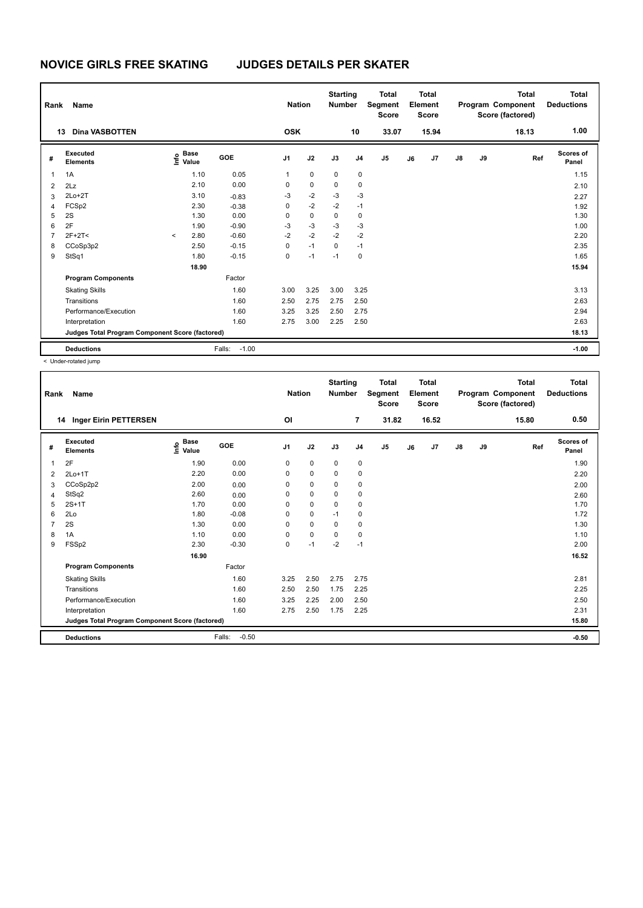| Rank           | <b>Name</b>                                     |         |                      |                   | <b>Nation</b>  |             | <b>Starting</b><br><b>Number</b> |                | <b>Total</b><br>Segment<br><b>Score</b> |    | <b>Total</b><br>Element<br><b>Score</b> |               |    | <b>Total</b><br>Program Component<br>Score (factored) | <b>Total</b><br><b>Deductions</b> |
|----------------|-------------------------------------------------|---------|----------------------|-------------------|----------------|-------------|----------------------------------|----------------|-----------------------------------------|----|-----------------------------------------|---------------|----|-------------------------------------------------------|-----------------------------------|
|                | <b>Dina VASBOTTEN</b><br>13                     |         |                      |                   | <b>OSK</b>     |             |                                  | 10             | 33.07                                   |    | 15.94                                   |               |    | 18.13                                                 | 1.00                              |
| #              | Executed<br><b>Elements</b>                     | lnfo    | <b>Base</b><br>Value | GOE               | J <sub>1</sub> | J2          | J3                               | J <sub>4</sub> | J <sub>5</sub>                          | J6 | J7                                      | $\mathsf{J}8$ | J9 | Ref                                                   | Scores of<br>Panel                |
| 1              | 1A                                              |         | 1.10                 | 0.05              | 1              | $\mathbf 0$ | $\mathbf 0$                      | $\mathbf 0$    |                                         |    |                                         |               |    |                                                       | 1.15                              |
| $\overline{2}$ | 2Lz                                             |         | 2.10                 | 0.00              | 0              | $\mathbf 0$ | $\Omega$                         | 0              |                                         |    |                                         |               |    |                                                       | 2.10                              |
| 3              | $2Lo+2T$                                        |         | 3.10                 | $-0.83$           | $-3$           | $-2$        | $-3$                             | $-3$           |                                         |    |                                         |               |    |                                                       | 2.27                              |
| 4              | FCSp2                                           |         | 2.30                 | $-0.38$           | 0              | $-2$        | $-2$                             | $-1$           |                                         |    |                                         |               |    |                                                       | 1.92                              |
| 5              | 2S                                              |         | 1.30                 | 0.00              | 0              | $\mathbf 0$ | $\mathbf 0$                      | 0              |                                         |    |                                         |               |    |                                                       | 1.30                              |
| 6              | 2F                                              |         | 1.90                 | $-0.90$           | $-3$           | $-3$        | $-3$                             | $-3$           |                                         |    |                                         |               |    |                                                       | 1.00                              |
| $\overline{7}$ | $2F+2T<$                                        | $\prec$ | 2.80                 | $-0.60$           | $-2$           | $-2$        | $-2$                             | $-2$           |                                         |    |                                         |               |    |                                                       | 2.20                              |
| 8              | CCoSp3p2                                        |         | 2.50                 | $-0.15$           | 0              | $-1$        | $\Omega$                         | $-1$           |                                         |    |                                         |               |    |                                                       | 2.35                              |
| 9              | StSq1                                           |         | 1.80                 | $-0.15$           | 0              | $-1$        | $-1$                             | 0              |                                         |    |                                         |               |    |                                                       | 1.65                              |
|                |                                                 |         | 18.90                |                   |                |             |                                  |                |                                         |    |                                         |               |    |                                                       | 15.94                             |
|                | <b>Program Components</b>                       |         |                      | Factor            |                |             |                                  |                |                                         |    |                                         |               |    |                                                       |                                   |
|                | <b>Skating Skills</b>                           |         |                      | 1.60              | 3.00           | 3.25        | 3.00                             | 3.25           |                                         |    |                                         |               |    |                                                       | 3.13                              |
|                | Transitions                                     |         |                      | 1.60              | 2.50           | 2.75        | 2.75                             | 2.50           |                                         |    |                                         |               |    |                                                       | 2.63                              |
|                | Performance/Execution                           |         |                      | 1.60              | 3.25           | 3.25        | 2.50                             | 2.75           |                                         |    |                                         |               |    |                                                       | 2.94                              |
|                | Interpretation                                  |         |                      | 1.60              | 2.75           | 3.00        | 2.25                             | 2.50           |                                         |    |                                         |               |    |                                                       | 2.63                              |
|                | Judges Total Program Component Score (factored) |         |                      |                   |                |             |                                  |                |                                         |    |                                         |               |    |                                                       | 18.13                             |
|                | <b>Deductions</b>                               |         |                      | Falls:<br>$-1.00$ |                |             |                                  |                |                                         |    |                                         |               |    |                                                       | $-1.00$                           |

| Rank           | Name                                            |                                  |                   | <b>Nation</b>  |             | <b>Starting</b><br><b>Number</b> |                | <b>Total</b><br>Segment<br><b>Score</b> |    | <b>Total</b><br>Element<br>Score |    |    | <b>Total</b><br>Program Component<br>Score (factored) | <b>Total</b><br><b>Deductions</b> |
|----------------|-------------------------------------------------|----------------------------------|-------------------|----------------|-------------|----------------------------------|----------------|-----------------------------------------|----|----------------------------------|----|----|-------------------------------------------------------|-----------------------------------|
|                | 14 Inger Eirin PETTERSEN                        |                                  |                   | <b>OI</b>      |             |                                  | $\overline{7}$ | 31.82                                   |    | 16.52                            |    |    | 15.80                                                 | 0.50                              |
| #              | Executed<br><b>Elements</b>                     | <b>Base</b><br>o Base<br>⊆ Value | GOE               | J <sub>1</sub> | J2          | J3                               | J <sub>4</sub> | J5                                      | J6 | J7                               | J8 | J9 | Ref                                                   | Scores of<br>Panel                |
| 1              | 2F                                              | 1.90                             | 0.00              | 0              | 0           | 0                                | 0              |                                         |    |                                  |    |    |                                                       | 1.90                              |
| 2              | $2Lo+1T$                                        | 2.20                             | 0.00              | 0              | $\mathbf 0$ | 0                                | 0              |                                         |    |                                  |    |    |                                                       | 2.20                              |
| 3              | CCoSp2p2                                        | 2.00                             | 0.00              | 0              | $\mathbf 0$ | 0                                | 0              |                                         |    |                                  |    |    |                                                       | 2.00                              |
| 4              | StSq2                                           | 2.60                             | 0.00              | $\Omega$       | $\mathbf 0$ | 0                                | 0              |                                         |    |                                  |    |    |                                                       | 2.60                              |
| 5              | $2S+1T$                                         | 1.70                             | 0.00              | $\Omega$       | $\mathbf 0$ | $\Omega$                         | 0              |                                         |    |                                  |    |    |                                                       | 1.70                              |
| 6              | 2Lo                                             | 1.80                             | $-0.08$           | 0              | 0           | $-1$                             | 0              |                                         |    |                                  |    |    |                                                       | 1.72                              |
| $\overline{7}$ | 2S                                              | 1.30                             | 0.00              | 0              | 0           | 0                                | 0              |                                         |    |                                  |    |    |                                                       | 1.30                              |
| 8              | 1A                                              | 1.10                             | 0.00              | $\Omega$       | $\mathbf 0$ | $\Omega$                         | 0              |                                         |    |                                  |    |    |                                                       | 1.10                              |
| 9              | FSSp2                                           | 2.30                             | $-0.30$           | 0              | $-1$        | $-2$                             | $-1$           |                                         |    |                                  |    |    |                                                       | 2.00                              |
|                |                                                 | 16.90                            |                   |                |             |                                  |                |                                         |    |                                  |    |    |                                                       | 16.52                             |
|                | <b>Program Components</b>                       |                                  | Factor            |                |             |                                  |                |                                         |    |                                  |    |    |                                                       |                                   |
|                | <b>Skating Skills</b>                           |                                  | 1.60              | 3.25           | 2.50        | 2.75                             | 2.75           |                                         |    |                                  |    |    |                                                       | 2.81                              |
|                | Transitions                                     |                                  | 1.60              | 2.50           | 2.50        | 1.75                             | 2.25           |                                         |    |                                  |    |    |                                                       | 2.25                              |
|                | Performance/Execution                           |                                  | 1.60              | 3.25           | 2.25        | 2.00                             | 2.50           |                                         |    |                                  |    |    |                                                       | 2.50                              |
|                | Interpretation                                  |                                  | 1.60              | 2.75           | 2.50        | 1.75                             | 2.25           |                                         |    |                                  |    |    |                                                       | 2.31                              |
|                | Judges Total Program Component Score (factored) |                                  |                   |                |             |                                  |                |                                         |    |                                  |    |    |                                                       | 15.80                             |
|                | <b>Deductions</b>                               |                                  | Falls:<br>$-0.50$ |                |             |                                  |                |                                         |    |                                  |    |    |                                                       | $-0.50$                           |
|                |                                                 |                                  |                   |                |             |                                  |                |                                         |    |                                  |    |    |                                                       |                                   |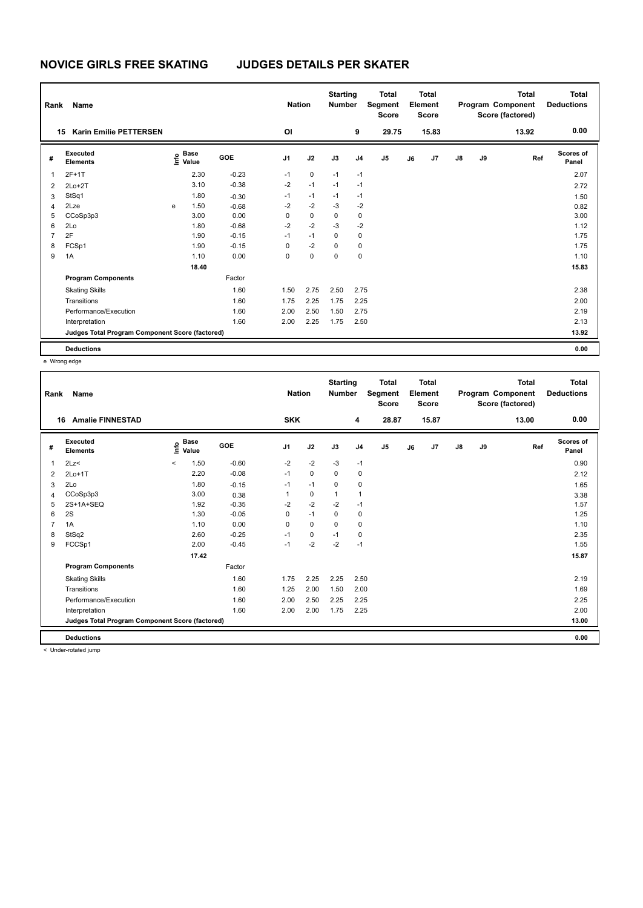| Rank           | Name                                            |      |                      |         |      | <b>Nation</b> | <b>Starting</b><br><b>Number</b> |                | <b>Total</b><br>Segment<br><b>Score</b> |    | <b>Total</b><br>Element<br><b>Score</b> |    |    | <b>Total</b><br>Program Component<br>Score (factored) | Total<br><b>Deductions</b> |
|----------------|-------------------------------------------------|------|----------------------|---------|------|---------------|----------------------------------|----------------|-----------------------------------------|----|-----------------------------------------|----|----|-------------------------------------------------------|----------------------------|
| 15             | <b>Karin Emilie PETTERSEN</b>                   |      |                      |         | OI   |               |                                  | 9              | 29.75                                   |    | 15.83                                   |    |    | 13.92                                                 | 0.00                       |
| #              | Executed<br><b>Elements</b>                     | ١nfo | <b>Base</b><br>Value | GOE     | J1   | J2            | J3                               | J <sub>4</sub> | J <sub>5</sub>                          | J6 | J7                                      | J8 | J9 | Ref                                                   | <b>Scores of</b><br>Panel  |
| 1              | $2F+1T$                                         |      | 2.30                 | $-0.23$ | $-1$ | $\mathbf 0$   | $-1$                             | $-1$           |                                         |    |                                         |    |    |                                                       | 2.07                       |
| $\overline{2}$ | $2Lo+2T$                                        |      | 3.10                 | $-0.38$ | $-2$ | $-1$          | $-1$                             | $-1$           |                                         |    |                                         |    |    |                                                       | 2.72                       |
| 3              | StSq1                                           |      | 1.80                 | $-0.30$ | $-1$ | $-1$          | $-1$                             | $-1$           |                                         |    |                                         |    |    |                                                       | 1.50                       |
| 4              | 2Lze                                            | e    | 1.50                 | $-0.68$ | $-2$ | $-2$          | $-3$                             | $-2$           |                                         |    |                                         |    |    |                                                       | 0.82                       |
| 5              | CCoSp3p3                                        |      | 3.00                 | 0.00    | 0    | 0             | 0                                | 0              |                                         |    |                                         |    |    |                                                       | 3.00                       |
| 6              | 2Lo                                             |      | 1.80                 | $-0.68$ | $-2$ | $-2$          | $-3$                             | $-2$           |                                         |    |                                         |    |    |                                                       | 1.12                       |
| $\overline{7}$ | 2F                                              |      | 1.90                 | $-0.15$ | $-1$ | $-1$          | 0                                | 0              |                                         |    |                                         |    |    |                                                       | 1.75                       |
| 8              | FCSp1                                           |      | 1.90                 | $-0.15$ | 0    | $-2$          | 0                                | 0              |                                         |    |                                         |    |    |                                                       | 1.75                       |
| 9              | 1A                                              |      | 1.10                 | 0.00    | 0    | 0             | 0                                | 0              |                                         |    |                                         |    |    |                                                       | 1.10                       |
|                |                                                 |      | 18.40                |         |      |               |                                  |                |                                         |    |                                         |    |    |                                                       | 15.83                      |
|                | <b>Program Components</b>                       |      |                      | Factor  |      |               |                                  |                |                                         |    |                                         |    |    |                                                       |                            |
|                | <b>Skating Skills</b>                           |      |                      | 1.60    | 1.50 | 2.75          | 2.50                             | 2.75           |                                         |    |                                         |    |    |                                                       | 2.38                       |
|                | Transitions                                     |      |                      | 1.60    | 1.75 | 2.25          | 1.75                             | 2.25           |                                         |    |                                         |    |    |                                                       | 2.00                       |
|                | Performance/Execution                           |      |                      | 1.60    | 2.00 | 2.50          | 1.50                             | 2.75           |                                         |    |                                         |    |    |                                                       | 2.19                       |
|                | Interpretation                                  |      |                      | 1.60    | 2.00 | 2.25          | 1.75                             | 2.50           |                                         |    |                                         |    |    |                                                       | 2.13                       |
|                | Judges Total Program Component Score (factored) |      |                      |         |      |               |                                  |                |                                         |    |                                         |    |    |                                                       | 13.92                      |
|                | <b>Deductions</b>                               |      |                      |         |      |               |                                  |                |                                         |    |                                         |    |    |                                                       | 0.00                       |

e Wrong edge

| Rank | Name                                            |                              |            | <b>Nation</b>  |             | <b>Starting</b><br><b>Number</b> |                | <b>Total</b><br>Segment<br><b>Score</b> |    | <b>Total</b><br>Element<br><b>Score</b> |               |    | <b>Total</b><br>Program Component<br>Score (factored) | <b>Total</b><br><b>Deductions</b> |
|------|-------------------------------------------------|------------------------------|------------|----------------|-------------|----------------------------------|----------------|-----------------------------------------|----|-----------------------------------------|---------------|----|-------------------------------------------------------|-----------------------------------|
| 16   | <b>Amalie FINNESTAD</b>                         |                              |            | <b>SKK</b>     |             |                                  | 4              | 28.87                                   |    | 15.87                                   |               |    | 13.00                                                 | 0.00                              |
| #    | Executed<br><b>Elements</b>                     | <b>Base</b><br>١nfo<br>Value | <b>GOE</b> | J <sub>1</sub> | J2          | J3                               | J <sub>4</sub> | J5                                      | J6 | J7                                      | $\mathsf{J}8$ | J9 | Ref                                                   | <b>Scores of</b><br>Panel         |
| 1    | 2Lz                                             | 1.50<br>$\prec$              | $-0.60$    | $-2$           | $-2$        | $-3$                             | $-1$           |                                         |    |                                         |               |    |                                                       | 0.90                              |
| 2    | $2Lo+1T$                                        | 2.20                         | $-0.08$    | $-1$           | 0           | 0                                | 0              |                                         |    |                                         |               |    |                                                       | 2.12                              |
| 3    | 2Lo                                             | 1.80                         | $-0.15$    | $-1$           | $-1$        | 0                                | $\mathbf 0$    |                                         |    |                                         |               |    |                                                       | 1.65                              |
| 4    | CCoSp3p3                                        | 3.00                         | 0.38       |                | 0           | $\mathbf 1$                      | $\mathbf{1}$   |                                         |    |                                         |               |    |                                                       | 3.38                              |
| 5    | 2S+1A+SEQ                                       | 1.92                         | $-0.35$    | $-2$           | $-2$        | $-2$                             | $-1$           |                                         |    |                                         |               |    |                                                       | 1.57                              |
| 6    | 2S                                              | 1.30                         | $-0.05$    | 0              | $-1$        | 0                                | 0              |                                         |    |                                         |               |    |                                                       | 1.25                              |
| 7    | 1A                                              | 1.10                         | 0.00       | 0              | $\mathbf 0$ | 0                                | 0              |                                         |    |                                         |               |    |                                                       | 1.10                              |
| 8    | StSq2                                           | 2.60                         | $-0.25$    | $-1$           | 0           | $-1$                             | 0              |                                         |    |                                         |               |    |                                                       | 2.35                              |
| 9    | FCCSp1                                          | 2.00                         | $-0.45$    | $-1$           | $-2$        | $-2$                             | $-1$           |                                         |    |                                         |               |    |                                                       | 1.55                              |
|      |                                                 | 17.42                        |            |                |             |                                  |                |                                         |    |                                         |               |    |                                                       | 15.87                             |
|      | <b>Program Components</b>                       |                              | Factor     |                |             |                                  |                |                                         |    |                                         |               |    |                                                       |                                   |
|      | <b>Skating Skills</b>                           |                              | 1.60       | 1.75           | 2.25        | 2.25                             | 2.50           |                                         |    |                                         |               |    |                                                       | 2.19                              |
|      | Transitions                                     |                              | 1.60       | 1.25           | 2.00        | 1.50                             | 2.00           |                                         |    |                                         |               |    |                                                       | 1.69                              |
|      | Performance/Execution                           |                              | 1.60       | 2.00           | 2.50        | 2.25                             | 2.25           |                                         |    |                                         |               |    |                                                       | 2.25                              |
|      | Interpretation                                  |                              | 1.60       | 2.00           | 2.00        | 1.75                             | 2.25           |                                         |    |                                         |               |    |                                                       | 2.00                              |
|      | Judges Total Program Component Score (factored) |                              |            |                |             |                                  |                |                                         |    |                                         |               |    |                                                       | 13.00                             |
|      | <b>Deductions</b>                               |                              |            |                |             |                                  |                |                                         |    |                                         |               |    |                                                       | 0.00                              |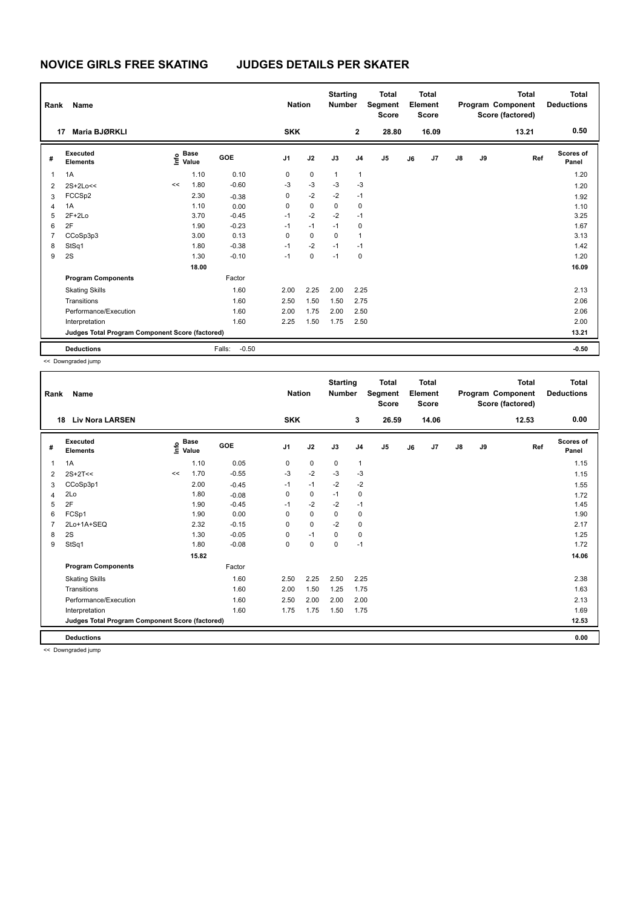| Rank           | Name                                            |    |                      |                   | <b>Nation</b>  |             | <b>Starting</b><br><b>Number</b> |                | <b>Total</b><br>Segment<br><b>Score</b> |    | <b>Total</b><br>Element<br><b>Score</b> |               |    | <b>Total</b><br>Program Component<br>Score (factored) | Total<br><b>Deductions</b> |
|----------------|-------------------------------------------------|----|----------------------|-------------------|----------------|-------------|----------------------------------|----------------|-----------------------------------------|----|-----------------------------------------|---------------|----|-------------------------------------------------------|----------------------------|
| 17             | Maria BJØRKLI                                   |    |                      |                   | <b>SKK</b>     |             |                                  | $\mathbf{2}$   | 28.80                                   |    | 16.09                                   |               |    | 13.21                                                 | 0.50                       |
| #              | Executed<br><b>Elements</b>                     | ۴  | <b>Base</b><br>Value | <b>GOE</b>        | J <sub>1</sub> | J2          | J3                               | J <sub>4</sub> | J <sub>5</sub>                          | J6 | J7                                      | $\mathsf{J}8$ | J9 | Ref                                                   | Scores of<br>Panel         |
| 1              | 1A                                              |    | 1.10                 | 0.10              | 0              | 0           | $\mathbf{1}$                     | $\mathbf{1}$   |                                         |    |                                         |               |    |                                                       | 1.20                       |
| $\overline{2}$ | $2S+2Lo<<$                                      | << | 1.80                 | $-0.60$           | $-3$           | $-3$        | $-3$                             | $-3$           |                                         |    |                                         |               |    |                                                       | 1.20                       |
| 3              | FCCSp2                                          |    | 2.30                 | $-0.38$           | 0              | $-2$        | $-2$                             | $-1$           |                                         |    |                                         |               |    |                                                       | 1.92                       |
| 4              | 1A                                              |    | 1.10                 | 0.00              | 0              | $\mathbf 0$ | $\mathbf 0$                      | 0              |                                         |    |                                         |               |    |                                                       | 1.10                       |
| 5              | $2F+2Lo$                                        |    | 3.70                 | $-0.45$           | $-1$           | $-2$        | $-2$                             | $-1$           |                                         |    |                                         |               |    |                                                       | 3.25                       |
| 6              | 2F                                              |    | 1.90                 | $-0.23$           | $-1$           | $-1$        | $-1$                             | $\mathbf 0$    |                                         |    |                                         |               |    |                                                       | 1.67                       |
| $\overline{7}$ | CCoSp3p3                                        |    | 3.00                 | 0.13              | 0              | $\mathbf 0$ | 0                                | $\mathbf{1}$   |                                         |    |                                         |               |    |                                                       | 3.13                       |
| 8              | StSq1                                           |    | 1.80                 | $-0.38$           | $-1$           | $-2$        | $-1$                             | $-1$           |                                         |    |                                         |               |    |                                                       | 1.42                       |
| 9              | 2S                                              |    | 1.30                 | $-0.10$           | $-1$           | 0           | $-1$                             | $\mathbf 0$    |                                         |    |                                         |               |    |                                                       | 1.20                       |
|                |                                                 |    | 18.00                |                   |                |             |                                  |                |                                         |    |                                         |               |    |                                                       | 16.09                      |
|                | <b>Program Components</b>                       |    |                      | Factor            |                |             |                                  |                |                                         |    |                                         |               |    |                                                       |                            |
|                | <b>Skating Skills</b>                           |    |                      | 1.60              | 2.00           | 2.25        | 2.00                             | 2.25           |                                         |    |                                         |               |    |                                                       | 2.13                       |
|                | Transitions                                     |    |                      | 1.60              | 2.50           | 1.50        | 1.50                             | 2.75           |                                         |    |                                         |               |    |                                                       | 2.06                       |
|                | Performance/Execution                           |    |                      | 1.60              | 2.00           | 1.75        | 2.00                             | 2.50           |                                         |    |                                         |               |    |                                                       | 2.06                       |
|                | Interpretation                                  |    |                      | 1.60              | 2.25           | 1.50        | 1.75                             | 2.50           |                                         |    |                                         |               |    |                                                       | 2.00                       |
|                | Judges Total Program Component Score (factored) |    |                      |                   |                |             |                                  |                |                                         |    |                                         |               |    |                                                       | 13.21                      |
|                | <b>Deductions</b>                               |    |                      | $-0.50$<br>Falls: |                |             |                                  |                |                                         |    |                                         |               |    |                                                       | $-0.50$                    |

<< Downgraded jump

| Rank | Name                                            |      |                      |         | <b>Nation</b>  |             | <b>Starting</b><br><b>Number</b> |                | <b>Total</b><br>Segment<br><b>Score</b> |    | <b>Total</b><br>Element<br><b>Score</b> |               |    | <b>Total</b><br>Program Component<br>Score (factored) | <b>Total</b><br><b>Deductions</b> |
|------|-------------------------------------------------|------|----------------------|---------|----------------|-------------|----------------------------------|----------------|-----------------------------------------|----|-----------------------------------------|---------------|----|-------------------------------------------------------|-----------------------------------|
| 18   | <b>Liv Nora LARSEN</b>                          |      |                      |         | <b>SKK</b>     |             |                                  | 3              | 26.59                                   |    | 14.06                                   |               |    | 12.53                                                 | 0.00                              |
| #    | Executed<br><b>Elements</b>                     | ١nfo | <b>Base</b><br>Value | GOE     | J <sub>1</sub> | J2          | J3                               | J <sub>4</sub> | J5                                      | J6 | J <sub>7</sub>                          | $\mathsf{J}8$ | J9 | Ref                                                   | <b>Scores of</b><br>Panel         |
| 1    | 1A                                              |      | 1.10                 | 0.05    | 0              | 0           | 0                                | $\mathbf{1}$   |                                         |    |                                         |               |    |                                                       | 1.15                              |
| 2    | $2S+2T<<$                                       | <<   | 1.70                 | $-0.55$ | $-3$           | $-2$        | $-3$                             | $-3$           |                                         |    |                                         |               |    |                                                       | 1.15                              |
| 3    | CCoSp3p1                                        |      | 2.00                 | $-0.45$ | $-1$           | $-1$        | $-2$                             | $-2$           |                                         |    |                                         |               |    |                                                       | 1.55                              |
| 4    | 2Lo                                             |      | 1.80                 | $-0.08$ | $\Omega$       | 0           | $-1$                             | 0              |                                         |    |                                         |               |    |                                                       | 1.72                              |
| 5    | 2F                                              |      | 1.90                 | $-0.45$ | $-1$           | $-2$        | $-2$                             | $-1$           |                                         |    |                                         |               |    |                                                       | 1.45                              |
| 6    | FCSp1                                           |      | 1.90                 | 0.00    | $\Omega$       | 0           | 0                                | 0              |                                         |    |                                         |               |    |                                                       | 1.90                              |
| 7    | 2Lo+1A+SEQ                                      |      | 2.32                 | $-0.15$ | $\Omega$       | $\mathbf 0$ | $-2$                             | 0              |                                         |    |                                         |               |    |                                                       | 2.17                              |
| 8    | 2S                                              |      | 1.30                 | $-0.05$ | 0              | $-1$        | $\Omega$                         | 0              |                                         |    |                                         |               |    |                                                       | 1.25                              |
| 9    | StSq1                                           |      | 1.80                 | $-0.08$ | 0              | 0           | 0                                | $-1$           |                                         |    |                                         |               |    |                                                       | 1.72                              |
|      |                                                 |      | 15.82                |         |                |             |                                  |                |                                         |    |                                         |               |    |                                                       | 14.06                             |
|      | <b>Program Components</b>                       |      |                      | Factor  |                |             |                                  |                |                                         |    |                                         |               |    |                                                       |                                   |
|      | <b>Skating Skills</b>                           |      |                      | 1.60    | 2.50           | 2.25        | 2.50                             | 2.25           |                                         |    |                                         |               |    |                                                       | 2.38                              |
|      | Transitions                                     |      |                      | 1.60    | 2.00           | 1.50        | 1.25                             | 1.75           |                                         |    |                                         |               |    |                                                       | 1.63                              |
|      | Performance/Execution                           |      |                      | 1.60    | 2.50           | 2.00        | 2.00                             | 2.00           |                                         |    |                                         |               |    |                                                       | 2.13                              |
|      | Interpretation                                  |      |                      | 1.60    | 1.75           | 1.75        | 1.50                             | 1.75           |                                         |    |                                         |               |    |                                                       | 1.69                              |
|      | Judges Total Program Component Score (factored) |      |                      |         |                |             |                                  |                |                                         |    |                                         |               |    |                                                       | 12.53                             |
|      | <b>Deductions</b>                               |      |                      |         |                |             |                                  |                |                                         |    |                                         |               |    |                                                       | 0.00                              |

<< Downgraded jump